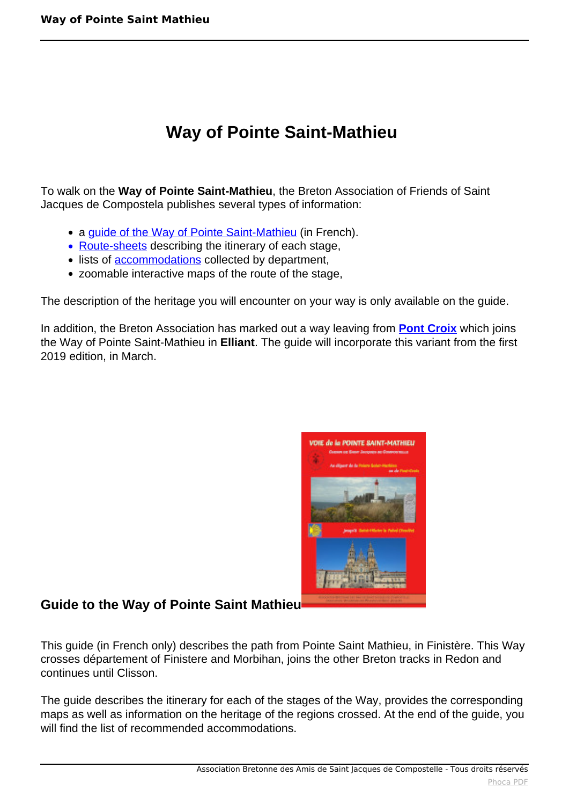# **Way of Pointe Saint-Mathieu**

To walk on the **Way of Pointe Saint-Mathieu**, the Breton Association of Friends of Saint Jacques de Compostela publishes several types of information:

- a quide of the Way of Pointe Saint-Mathieu (in French).
- Route-sheets describing the itinerary of each stage,
- lists of **accommodations** collected by department,
- zoomable interactive maps of the route of the stage,

The description of the heritage you will encounter on your way is only available on the guide.

In addition, the Breton Association has marked out a way leaving from **[Pont Croix](index.php?option=com_content&view=article&id=462:way-of-pont-croix&catid=46:anglais&lang=en-GB)** which joins the Way of Pointe Saint-Mathieu in **Elliant**. The guide will incorporate this variant from the first 2019 edition, in March.



## **Guide to the Way of Pointe Saint Mathieu**

This guide (in French only) describes the path from Pointe Saint Mathieu, in Finistère. This Way crosses département of Finistere and Morbihan, joins the other Breton tracks in Redon and continues until Clisson.

The guide describes the itinerary for each of the stages of the Way, provides the corresponding maps as well as information on the heritage of the regions crossed. At the end of the guide, you will find the list of recommended accommodations.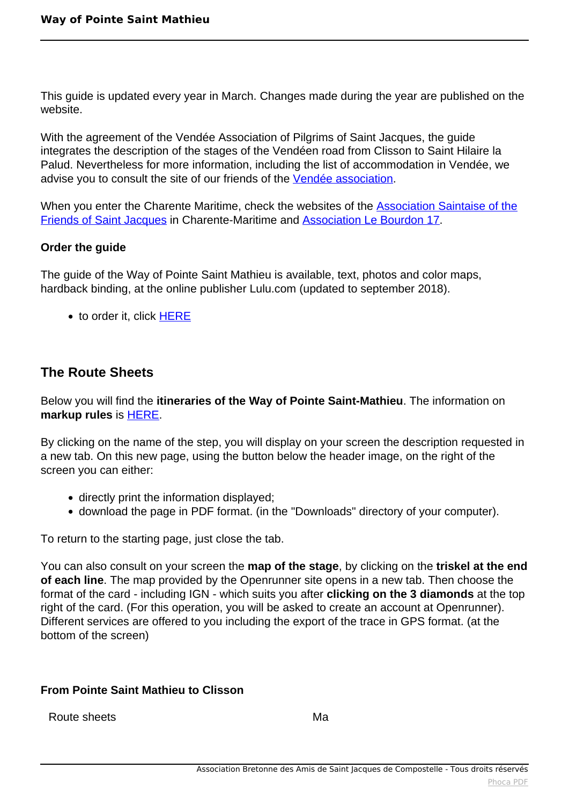This guide is updated every year in March. Changes made during the year are published on the website.

With the agreement of the Vendée Association of Pilgrims of Saint Jacques, the guide integrates the description of the stages of the Vendéen road from Clisson to Saint Hilaire la Palud. Nevertheless for more information, including the list of accommodation in Vendée, we advise you to consult the site of our friends of the [Vendée association](http://www.vendeecompostelle.org/blg/wp/).

When you enter the Charente Maritime, check the websites of the [Association Saintaise of the](http://compostelle17.fr/-L-association-.html) [Friends of Saint Jacques](http://compostelle17.fr/-L-association-.html) in Charente-Maritime and [Association Le Bourdon 17](http://association-le-bourdon-17.mozello.fr/).

#### **Order the guide**

The guide of the Way of Pointe Saint Mathieu is available, text, photos and color maps, hardback binding, at the online publisher Lulu.com (updated to september 2018).

• to order it, click [HERE](http://www.lulu.com/shop/association-bretonne-amis-de-saint-jacques/guide-de-la-voie-de-la-pointe-saint-mathieu/paperback/product-23324081.html)

# **The Route Sheets**

Below you will find the **itineraries of the Way of Pointe Saint-Mathieu**. The information on **markup rules** is [HERE.](index.php?option=com_content&view=article&id=108:balisage&catid=24:chemin&Itemid=187)

By clicking on the name of the step, you will display on your screen the description requested in a new tab. On this new page, using the button below the header image, on the right of the screen you can either:

- directly print the information displayed;
- download the page in PDF format. (in the "Downloads" directory of your computer).

To return to the starting page, just close the tab.

You can also consult on your screen the **map of the stage**, by clicking on the **triskel at the end of each line**. The map provided by the Openrunner site opens in a new tab. Then choose the format of the card - including IGN - which suits you after **clicking on the 3 diamonds** at the top right of the card. (For this operation, you will be asked to create an account at Openrunner). Different services are offered to you including the export of the trace in GPS format. (at the bottom of the screen)

### **From Pointe Saint Mathieu to Clisson**

Route sheets Ma